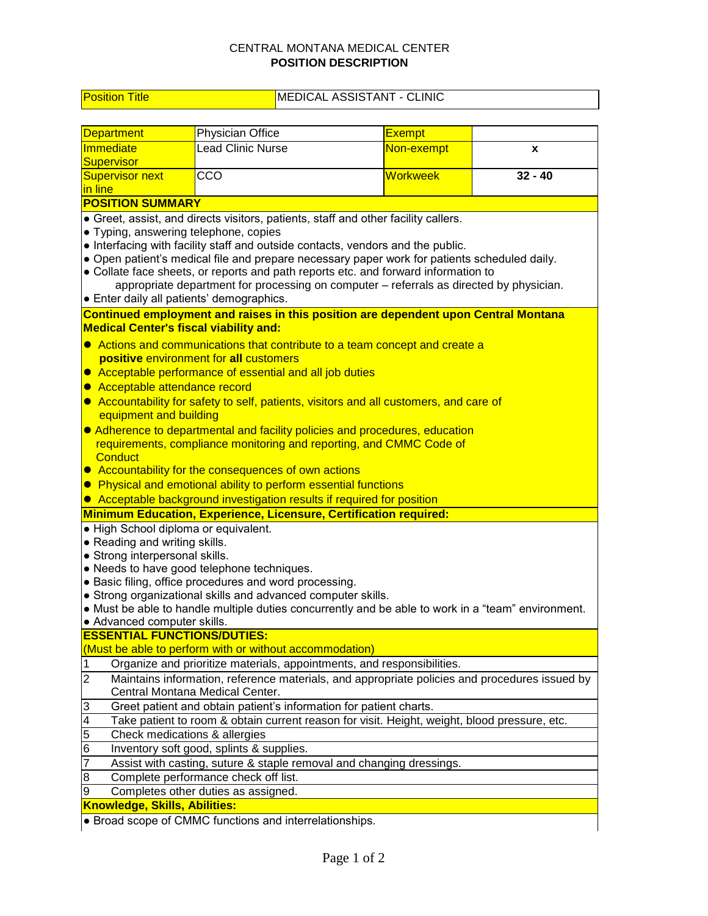## CENTRAL MONTANA MEDICAL CENTER **POSITION DESCRIPTION**

Position Title MEDICAL ASSISTANT - CLINIC

| <b>Department</b>                                                                                               | Physician Office                                                                             | <b>Exempt</b>   |           |  |  |  |
|-----------------------------------------------------------------------------------------------------------------|----------------------------------------------------------------------------------------------|-----------------|-----------|--|--|--|
| Immediate                                                                                                       | <b>Lead Clinic Nurse</b>                                                                     | Non-exempt      |           |  |  |  |
| Supervisor                                                                                                      |                                                                                              |                 | X         |  |  |  |
| <b>Supervisor next</b>                                                                                          | CCO                                                                                          | <b>Workweek</b> | $32 - 40$ |  |  |  |
| in line                                                                                                         |                                                                                              |                 |           |  |  |  |
| <b>POSITION SUMMARY</b>                                                                                         |                                                                                              |                 |           |  |  |  |
|                                                                                                                 | • Greet, assist, and directs visitors, patients, staff and other facility callers.           |                 |           |  |  |  |
| · Typing, answering telephone, copies                                                                           |                                                                                              |                 |           |  |  |  |
|                                                                                                                 | • Interfacing with facility staff and outside contacts, vendors and the public.              |                 |           |  |  |  |
|                                                                                                                 | . Open patient's medical file and prepare necessary paper work for patients scheduled daily. |                 |           |  |  |  |
|                                                                                                                 | • Collate face sheets, or reports and path reports etc. and forward information to           |                 |           |  |  |  |
|                                                                                                                 | appropriate department for processing on computer - referrals as directed by physician.      |                 |           |  |  |  |
| • Enter daily all patients' demographics.                                                                       |                                                                                              |                 |           |  |  |  |
|                                                                                                                 | Continued employment and raises in this position are dependent upon Central Montana          |                 |           |  |  |  |
| <b>Medical Center's fiscal viability and:</b>                                                                   |                                                                                              |                 |           |  |  |  |
| • Actions and communications that contribute to a team concept and create a                                     |                                                                                              |                 |           |  |  |  |
| positive environment for all customers                                                                          |                                                                                              |                 |           |  |  |  |
| • Acceptable performance of essential and all job duties                                                        |                                                                                              |                 |           |  |  |  |
| Acceptable attendance record<br>$\bullet$                                                                       |                                                                                              |                 |           |  |  |  |
| • Accountability for safety to self, patients, visitors and all customers, and care of                          |                                                                                              |                 |           |  |  |  |
| equipment and building                                                                                          |                                                                                              |                 |           |  |  |  |
| • Adherence to departmental and facility policies and procedures, education                                     |                                                                                              |                 |           |  |  |  |
|                                                                                                                 | requirements, compliance monitoring and reporting, and CMMC Code of                          |                 |           |  |  |  |
| Conduct                                                                                                         |                                                                                              |                 |           |  |  |  |
|                                                                                                                 | • Accountability for the consequences of own actions                                         |                 |           |  |  |  |
|                                                                                                                 | • Physical and emotional ability to perform essential functions                              |                 |           |  |  |  |
| • Acceptable background investigation results if required for position                                          |                                                                                              |                 |           |  |  |  |
| <b>Minimum Education, Experience, Licensure, Certification required:</b>                                        |                                                                                              |                 |           |  |  |  |
| · High School diploma or equivalent.                                                                            |                                                                                              |                 |           |  |  |  |
| • Reading and writing skills.                                                                                   |                                                                                              |                 |           |  |  |  |
| • Strong interpersonal skills.<br>• Needs to have good telephone techniques.                                    |                                                                                              |                 |           |  |  |  |
| · Basic filing, office procedures and word processing.                                                          |                                                                                              |                 |           |  |  |  |
| • Strong organizational skills and advanced computer skills.                                                    |                                                                                              |                 |           |  |  |  |
| • Must be able to handle multiple duties concurrently and be able to work in a "team" environment.              |                                                                                              |                 |           |  |  |  |
| • Advanced computer skills.                                                                                     |                                                                                              |                 |           |  |  |  |
| <b>ESSENTIAL FUNCTIONS/DUTIES:</b>                                                                              |                                                                                              |                 |           |  |  |  |
|                                                                                                                 | (Must be able to perform with or without accommodation)                                      |                 |           |  |  |  |
| 1                                                                                                               | Organize and prioritize materials, appointments, and responsibilities.                       |                 |           |  |  |  |
| $\overline{2}$<br>Maintains information, reference materials, and appropriate policies and procedures issued by |                                                                                              |                 |           |  |  |  |
| Central Montana Medical Center.                                                                                 |                                                                                              |                 |           |  |  |  |
| Greet patient and obtain patient's information for patient charts.<br>3                                         |                                                                                              |                 |           |  |  |  |
| 4<br>Take patient to room & obtain current reason for visit. Height, weight, blood pressure, etc.               |                                                                                              |                 |           |  |  |  |
| 5<br>Check medications & allergies                                                                              |                                                                                              |                 |           |  |  |  |
| Inventory soft good, splints & supplies.<br>6                                                                   |                                                                                              |                 |           |  |  |  |
| 7                                                                                                               | Assist with casting, suture & staple removal and changing dressings.                         |                 |           |  |  |  |
| 8                                                                                                               | Complete performance check off list.                                                         |                 |           |  |  |  |
| 9<br>Completes other duties as assigned.                                                                        |                                                                                              |                 |           |  |  |  |
| <b>Knowledge, Skills, Abilities:</b>                                                                            |                                                                                              |                 |           |  |  |  |

● Broad scope of CMMC functions and interrelationships.